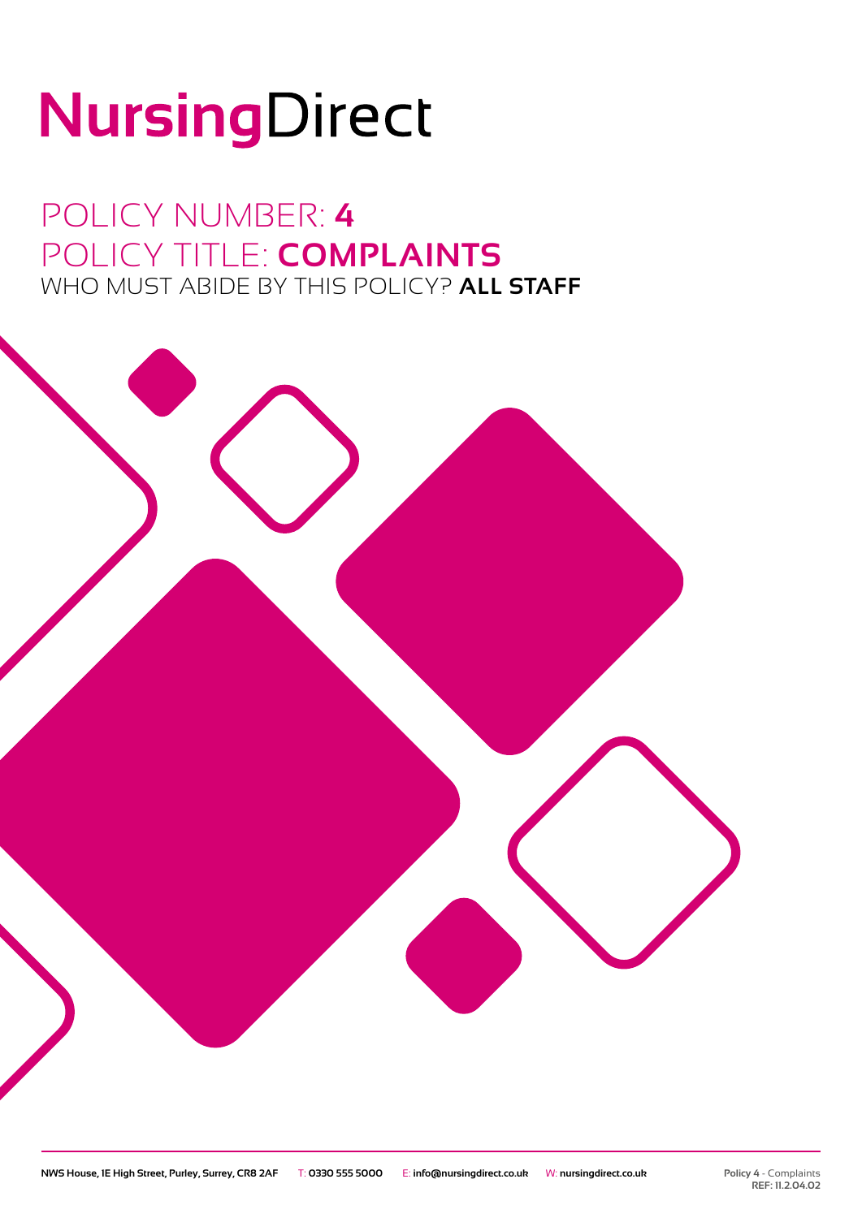# NursingDirect

POLICY NUMBER: **4** POLICY TITLE: **COMPLAINTS** WHO MUST ABIDE BY THIS POLICY? **ALL STAFF**